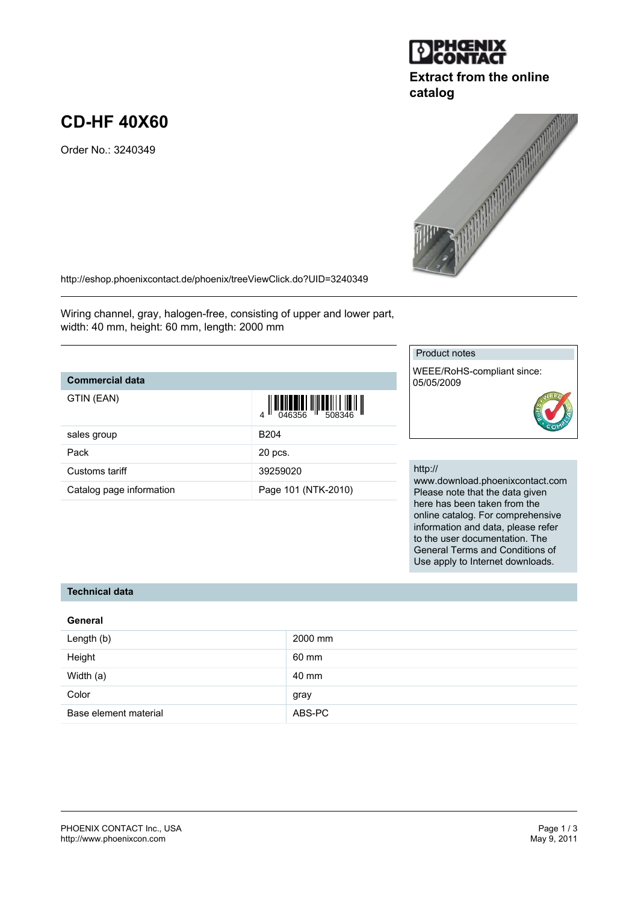

# **Extract from the online catalog**



<http://eshop.phoenixcontact.de/phoenix/treeViewClick.do?UID=3240349>

Wiring channel, gray, halogen-free, consisting of upper and lower part, width: 40 mm, height: 60 mm, length: 2000 mm

## **Commercial data**

**CD-HF 40X60**

Order No.: 3240349

| GTIN (EAN)               |                     |        |
|--------------------------|---------------------|--------|
| sales group              | B <sub>204</sub>    |        |
| Pack                     | 20 pcs.             |        |
| Customs tariff           | 39259020            | h      |
| Catalog page information | Page 101 (NTK-2010) | v<br>F |

### Product notes

WEEE/RoHS-compliant since: 05/05/2009

#### http://

www.download.phoenixcontact.com Please note that the data given here has been taken from the online catalog. For comprehensive information and data, please refer to the user documentation. The General Terms and Conditions of Use apply to Internet downloads.

### **Technical data**

#### **General**

| Length (b)            | 2000 mm |
|-----------------------|---------|
| Height                | 60 mm   |
| Width (a)             | 40 mm   |
| Color                 | gray    |
| Base element material | ABS-PC  |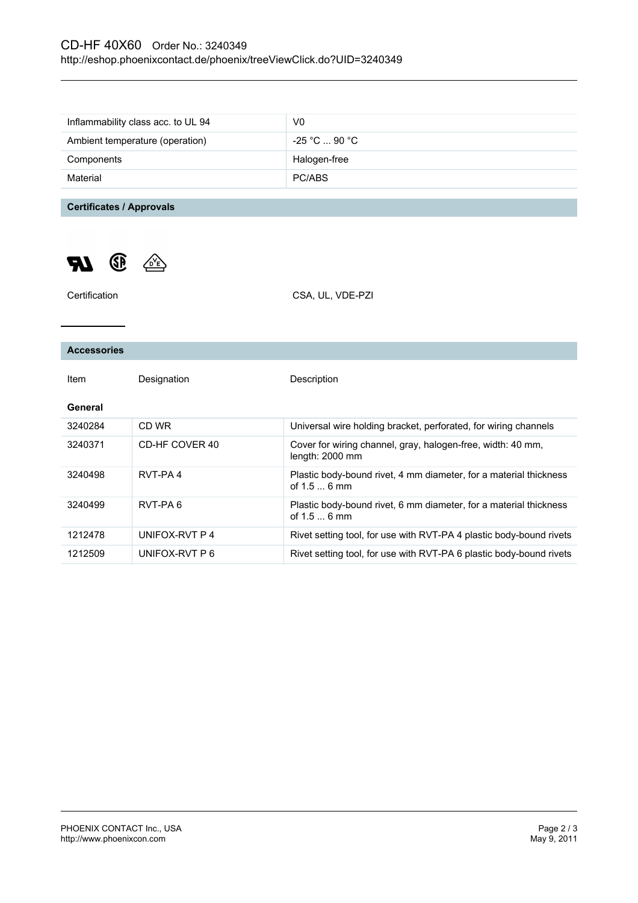# CD-HF 40X60 Order No.: 3240349 <http://eshop.phoenixcontact.de/phoenix/treeViewClick.do?UID=3240349>

| Inflammability class acc. to UL 94 | V0                |
|------------------------------------|-------------------|
| Ambient temperature (operation)    | $-25$ °C  90 °C . |
| Components                         | Halogen-free      |
| Material                           | PC/ABS            |

**Certificates / Approvals**

 $\mathbb{Z}$ 



| Certification      |                | CSA, UL, VDE-PZI                                                                  |
|--------------------|----------------|-----------------------------------------------------------------------------------|
|                    |                |                                                                                   |
| <b>Accessories</b> |                |                                                                                   |
| Item               | Designation    | Description                                                                       |
| General            |                |                                                                                   |
| 3240284            | CD WR          | Universal wire holding bracket, perforated, for wiring channels                   |
| 3240371            | CD-HF COVER 40 | Cover for wiring channel, gray, halogen-free, width: 40 mm,<br>length: 2000 mm    |
| 3240498            | RVT-PA4        | Plastic body-bound rivet, 4 mm diameter, for a material thickness<br>of $1.56$ mm |
| 3240499            | RVT-PA6        | Plastic body-bound rivet, 6 mm diameter, for a material thickness<br>of $1.56$ mm |
| 1212478            | UNIFOX-RVT P 4 | Rivet setting tool, for use with RVT-PA 4 plastic body-bound rivets               |
| 1212509            | UNIFOX-RVT P 6 | Rivet setting tool, for use with RVT-PA 6 plastic body-bound rivets               |